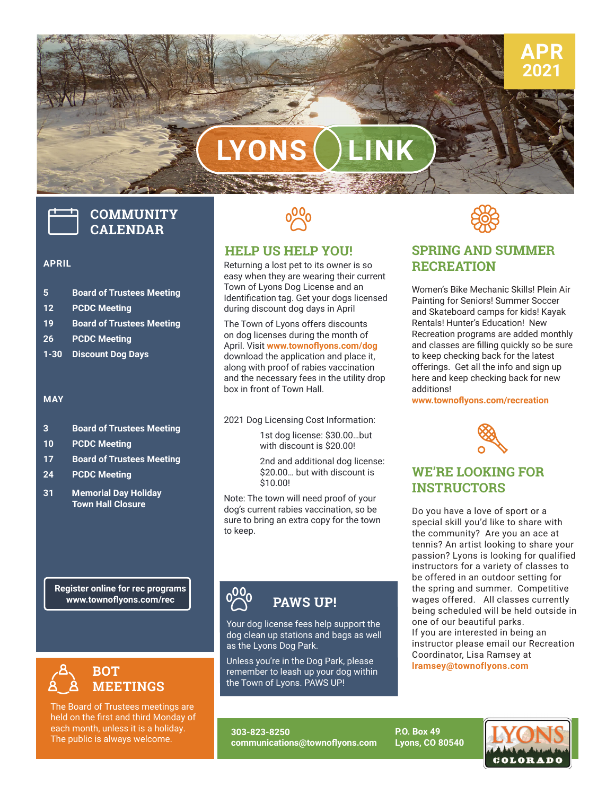

# **LYONS LINK**

## **COMMUNITY CALENDAR**

#### **APRIL**

- **5 Board of Trustees Meeting**
- **12 PCDC Meeting**
- **19 Board of Trustees Meeting**
- **26 PCDC Meeting**
- **1-30 Discount Dog Days**

### **MAY**

- **3 Board of Trustees Meeting**
- **10 PCDC Meeting**
- **17 Board of Trustees Meeting**
- **24 PCDC Meeting**
- **31 Memorial Day Holiday Town Hall Closure**

**Register online for rec programs www.townoflyons.com/rec**



The Board of Trustees meetings are held on the first and third Monday of each month, unless it is a holiday. The public is always welcome.



### **HELP US HELP YOU!**

Returning a lost pet to its owner is so easy when they are wearing their current Town of Lyons Dog License and an Identification tag. Get your dogs licensed during discount dog days in April

The Town of Lyons offers discounts on dog licenses during the month of April. Visit **www.townoflyons.com/dog** download the application and place it, along with proof of rabies vaccination and the necessary fees in the utility drop box in front of Town Hall.

2021 Dog Licensing Cost Information:

1st dog license: \$30.00…but with discount is \$20.00!

2nd and additional dog license: \$20.00… but with discount is \$10.00!

Note: The town will need proof of your dog's current rabies vaccination, so be sure to bring an extra copy for the town to keep.



### **PAWS UP!**

as the Lyons Dog Park. Tour dog license rees neip support the<br>dog clean up stations and bags as well<br>as the Lyons Dog Park. Your dog license fees help support the

Unless you're in the Dog Park, please remember to leash up your dog within the Town of Lyons. PAWS UP!

**303-823-8250 communications@townoflyons.com** **SSS** 

### **SPRING AND SUMMER RECREATION**

Women's Bike Mechanic Skills! Plein Air Painting for Seniors! Summer Soccer and Skateboard camps for kids! Kayak Rentals! Hunter's Education! New Recreation programs are added monthly and classes are filling quickly so be sure to keep checking back for the latest offerings. Get all the info and sign up here and keep checking back for new additions!

**www.townoflyons.com/recreation**



### **WE'RE LOOKING FOR INSTRUCTORS**

Do you have a love of sport or a special skill you'd like to share with the community? Are you an ace at tennis? An artist looking to share your passion? Lyons is looking for qualified instructors for a variety of classes to be offered in an outdoor setting for the spring and summer. Competitive wages offered. All classes currently being scheduled will be held outside in one of our beautiful parks. If you are interested in being an instructor please email our Recreation Coordinator, Lisa Ramsey at **[lramsey@townoflyons.com](mailto:lramsey%40townoflyons.com?subject=new%20instructors)**

**P.O. Box 49 Lyons, CO 80540** **COLORADO**